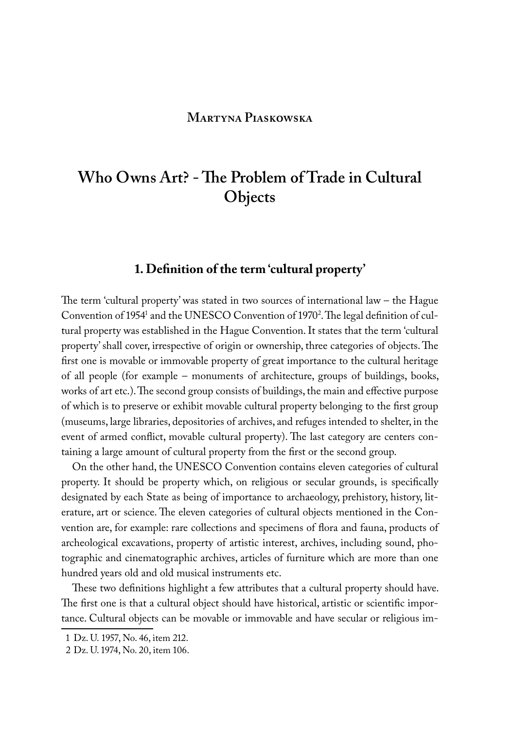#### **Martyna Piaskowska**

# **Who Owns Art? - The Problem of Trade in Cultural Objects**

## **1. Definition of the term 'cultural property'**

The term 'cultural property' was stated in two sources of international law – the Hague Convention of 1954<sup>1</sup> and the UNESCO Convention of 1970<sup>2</sup>. The legal definition of cultural property was established in the Hague Convention. It states that the term 'cultural property' shall cover, irrespective of origin or ownership, three categories of objects. The first one is movable or immovable property of great importance to the cultural heritage of all people (for example – monuments of architecture, groups of buildings, books, works of art etc.). The second group consists of buildings, the main and effective purpose of which is to preserve or exhibit movable cultural property belonging to the first group (museums, large libraries, depositories of archives, and refuges intended to shelter, in the event of armed conflict, movable cultural property). The last category are centers containing a large amount of cultural property from the first or the second group.

On the other hand, the UNESCO Convention contains eleven categories of cultural property. It should be property which, on religious or secular grounds, is specifically designated by each State as being of importance to archaeology, prehistory, history, literature, art or science. The eleven categories of cultural objects mentioned in the Convention are, for example: rare collections and specimens of flora and fauna, products of archeological excavations, property of artistic interest, archives, including sound, photographic and cinematographic archives, articles of furniture which are more than one hundred years old and old musical instruments etc.

These two definitions highlight a few attributes that a cultural property should have. The first one is that a cultural object should have historical, artistic or scientific importance. Cultural objects can be movable or immovable and have secular or religious im-

<sup>1</sup> Dz. U. 1957, No. 46, item 212.

<sup>2</sup> Dz. U. 1974, No. 20, item 106.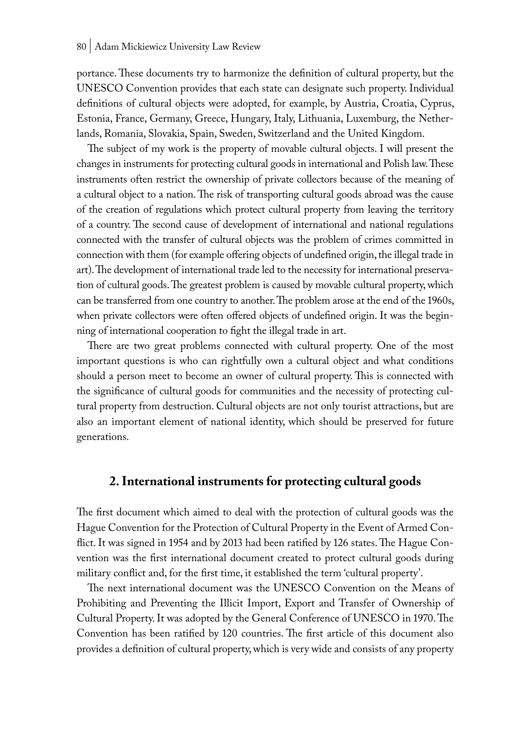portance. These documents try to harmonize the definition of cultural property, but the UNESCO Convention provides that each state can designate such property. Individual definitions of cultural objects were adopted, for example, by Austria, Croatia, Cyprus, Estonia, France, Germany, Greece, Hungary, Italy, Lithuania, Luxemburg, the Netherlands, Romania, Slovakia, Spain, Sweden, Switzerland and the United Kingdom.

The subject of my work is the property of movable cultural objects. I will present the changes in instruments for protecting cultural goods in international and Polish law. These instruments often restrict the ownership of private collectors because of the meaning of a cultural object to a nation. The risk of transporting cultural goods abroad was the cause of the creation of regulations which protect cultural property from leaving the territory of a country. The second cause of development of international and national regulations connected with the transfer of cultural objects was the problem of crimes committed in connection with them (for example offering objects of undefined origin, the illegal trade in art). The development of international trade led to the necessity for international preservation of cultural goods. The greatest problem is caused by movable cultural property, which can be transferred from one country to another. The problem arose at the end of the 1960s, when private collectors were often offered objects of undefined origin. It was the beginning of international cooperation to fight the illegal trade in art.

There are two great problems connected with cultural property. One of the most important questions is who can rightfully own a cultural object and what conditions should a person meet to become an owner of cultural property. This is connected with the significance of cultural goods for communities and the necessity of protecting cultural property from destruction. Cultural objects are not only tourist attractions, but are also an important element of national identity, which should be preserved for future generations.

### **2. International instruments for protecting cultural goods**

The first document which aimed to deal with the protection of cultural goods was the Hague Convention for the Protection of Cultural Property in the Event of Armed Conflict. It was signed in 1954 and by 2013 had been ratified by 126 states. The Hague Convention was the first international document created to protect cultural goods during military conflict and, for the first time, it established the term 'cultural property'.

The next international document was the UNESCO Convention on the Means of Prohibiting and Preventing the Illicit Import, Export and Transfer of Ownership of Cultural Property. It was adopted by the General Conference of UNESCO in 1970. The Convention has been ratified by 120 countries. The first article of this document also provides a definition of cultural property, which is very wide and consists of any property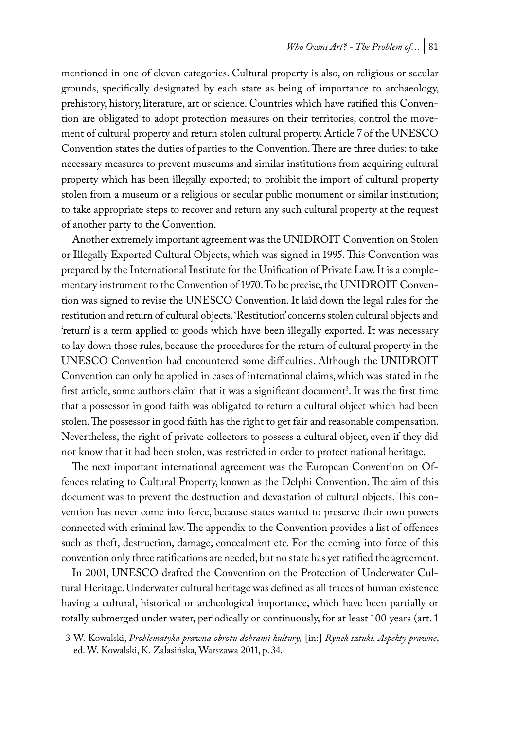mentioned in one of eleven categories. Cultural property is also, on religious or secular grounds, specifically designated by each state as being of importance to archaeology, prehistory, history, literature, art or science. Countries which have ratified this Convention are obligated to adopt protection measures on their territories, control the movement of cultural property and return stolen cultural property. Article 7 of the UNESCO Convention states the duties of parties to the Convention. There are three duties: to take necessary measures to prevent museums and similar institutions from acquiring cultural property which has been illegally exported; to prohibit the import of cultural property stolen from a museum or a religious or secular public monument or similar institution; to take appropriate steps to recover and return any such cultural property at the request of another party to the Convention.

Another extremely important agreement was the UNIDROIT Convention on Stolen or Illegally Exported Cultural Objects, which was signed in 1995. This Convention was prepared by the International Institute for the Unification of Private Law. It is a complementary instrument to the Convention of 1970. To be precise, the UNIDROIT Convention was signed to revise the UNESCO Convention. It laid down the legal rules for the restitution and return of cultural objects. 'Restitution' concerns stolen cultural objects and 'return' is a term applied to goods which have been illegally exported. It was necessary to lay down those rules, because the procedures for the return of cultural property in the UNESCO Convention had encountered some difficulties. Although the UNIDROIT Convention can only be applied in cases of international claims, which was stated in the first article, some authors claim that it was a significant document<sup>3</sup>. It was the first time that a possessor in good faith was obligated to return a cultural object which had been stolen. The possessor in good faith has the right to get fair and reasonable compensation. Nevertheless, the right of private collectors to possess a cultural object, even if they did not know that it had been stolen, was restricted in order to protect national heritage.

The next important international agreement was the European Convention on Offences relating to Cultural Property, known as the Delphi Convention. The aim of this document was to prevent the destruction and devastation of cultural objects. This convention has never come into force, because states wanted to preserve their own powers connected with criminal law. The appendix to the Convention provides a list of offences such as theft, destruction, damage, concealment etc. For the coming into force of this convention only three ratifications are needed, but no state has yet ratified the agreement.

In 2001, UNESCO drafted the Convention on the Protection of Underwater Cultural Heritage. Underwater cultural heritage was defined as all traces of human existence having a cultural, historical or archeological importance, which have been partially or totally submerged under water, periodically or continuously, for at least 100 years (art. 1

<sup>3</sup> W. Kowalski, *Problematyka prawna obrotu dobrami kultury,* [in:] *Rynek sztuki. Aspekty prawne*, ed. W. Kowalski, K. Zalasińska, Warszawa 2011, p. 34.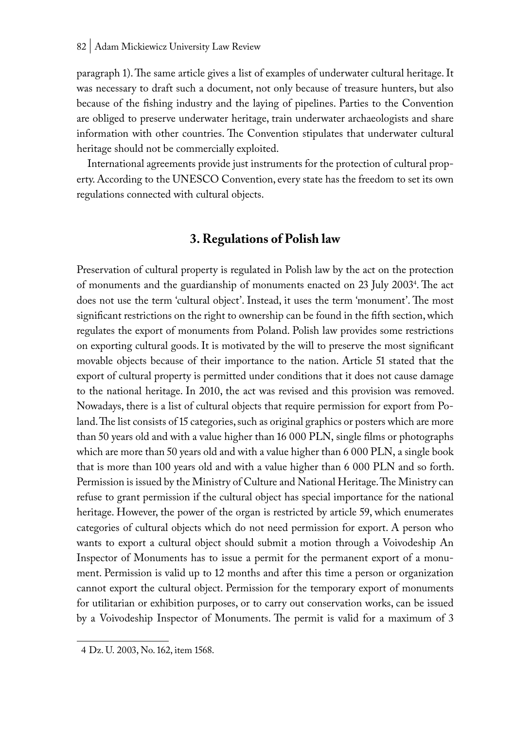paragraph 1). The same article gives a list of examples of underwater cultural heritage. It was necessary to draft such a document, not only because of treasure hunters, but also because of the fishing industry and the laying of pipelines. Parties to the Convention are obliged to preserve underwater heritage, train underwater archaeologists and share information with other countries. The Convention stipulates that underwater cultural heritage should not be commercially exploited.

International agreements provide just instruments for the protection of cultural property. According to the UNESCO Convention, every state has the freedom to set its own regulations connected with cultural objects.

#### **3. Regulations of Polish law**

Preservation of cultural property is regulated in Polish law by the act on the protection of monuments and the guardianship of monuments enacted on 23 July 20034 . The act does not use the term 'cultural object'. Instead, it uses the term 'monument'. The most significant restrictions on the right to ownership can be found in the fifth section, which regulates the export of monuments from Poland. Polish law provides some restrictions on exporting cultural goods. It is motivated by the will to preserve the most significant movable objects because of their importance to the nation. Article 51 stated that the export of cultural property is permitted under conditions that it does not cause damage to the national heritage. In 2010, the act was revised and this provision was removed. Nowadays, there is a list of cultural objects that require permission for export from Poland. The list consists of 15 categories, such as original graphics or posters which are more than 50 years old and with a value higher than 16 000 PLN, single films or photographs which are more than 50 years old and with a value higher than 6 000 PLN, a single book that is more than 100 years old and with a value higher than 6 000 PLN and so forth. Permission is issued by the Ministry of Culture and National Heritage. The Ministry can refuse to grant permission if the cultural object has special importance for the national heritage. However, the power of the organ is restricted by article 59, which enumerates categories of cultural objects which do not need permission for export. A person who wants to export a cultural object should submit a motion through a Voivodeship An Inspector of Monuments has to issue a permit for the permanent export of a monument. Permission is valid up to 12 months and after this time a person or organization cannot export the cultural object. Permission for the temporary export of monuments for utilitarian or exhibition purposes, or to carry out conservation works, can be issued by a Voivodeship Inspector of Monuments. The permit is valid for a maximum of 3

<sup>4</sup> Dz. U. 2003, No. 162, item 1568.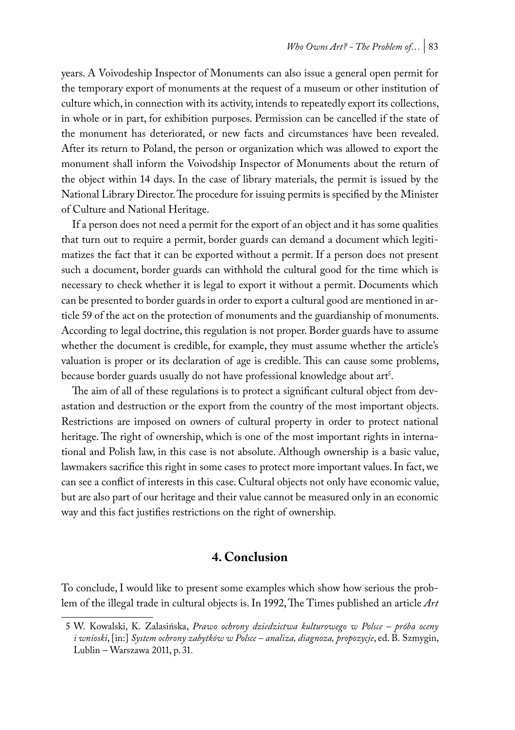years. A Voivodeship Inspector of Monuments can also issue a general open permit for the temporary export of monuments at the request of a museum or other institution of culture which, in connection with its activity, intends to repeatedly export its collections, in whole or in part, for exhibition purposes. Permission can be cancelled if the state of the monument has deteriorated, or new facts and circumstances have been revealed. After its return to Poland, the person or organization which was allowed to export the monument shall inform the Voivodship Inspector of Monuments about the return of the object within 14 days. In the case of library materials, the permit is issued by the National Library Director. The procedure for issuing permits is specified by the Minister of Culture and National Heritage.

If a person does not need a permit for the export of an object and it has some qualities that turn out to require a permit, border guards can demand a document which legitimatizes the fact that it can be exported without a permit. If a person does not present such a document, border guards can withhold the cultural good for the time which is necessary to check whether it is legal to export it without a permit. Documents which can be presented to border guards in order to export a cultural good are mentioned in article 59 of the act on the protection of monuments and the guardianship of monuments. According to legal doctrine, this regulation is not proper. Border guards have to assume whether the document is credible, for example, they must assume whether the article's valuation is proper or its declaration of age is credible. This can cause some problems, because border guards usually do not have professional knowledge about art'.

The aim of all of these regulations is to protect a significant cultural object from devastation and destruction or the export from the country of the most important objects. Restrictions are imposed on owners of cultural property in order to protect national heritage. The right of ownership, which is one of the most important rights in international and Polish law, in this case is not absolute. Although ownership is a basic value, lawmakers sacrifice this right in some cases to protect more important values. In fact, we can see a conflict of interests in this case. Cultural objects not only have economic value, but are also part of our heritage and their value cannot be measured only in an economic way and this fact justifies restrictions on the right of ownership.

#### **4. Conclusion**

To conclude, I would like to present some examples which show how serious the problem of the illegal trade in cultural objects is. In 1992, The Times published an article *Art* 

<sup>5</sup> W. Kowalski, K. Zalasińska, *Prawo ochrony dziedzictwa kulturowego w Polsce – próba oceny i wnioski*, [in:] *System ochrony zabytków w Polsce – analiza, diagnoza, propozycje*, ed. B. Szmygin, Lublin – Warszawa 2011, p. 31.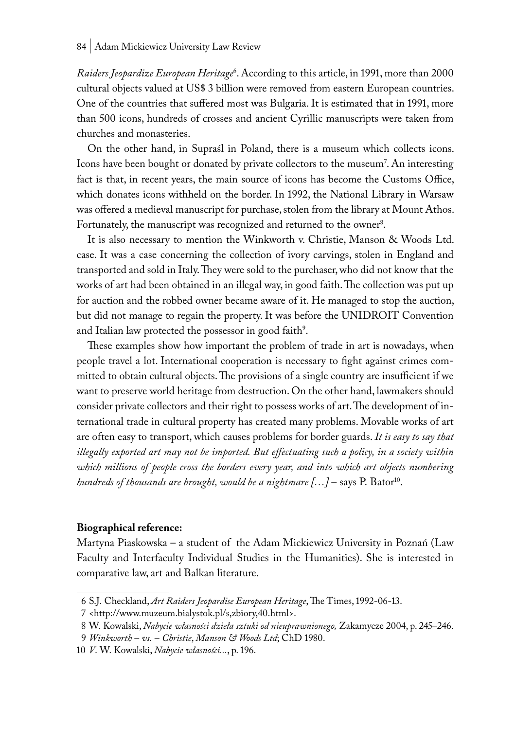*Raiders Jeopardize European Heritage*<sup>6</sup> . According to this article, in 1991, more than 2000 cultural objects valued at US\$ 3 billion were removed from eastern European countries. One of the countries that suffered most was Bulgaria. It is estimated that in 1991, more than 500 icons, hundreds of crosses and ancient Cyrillic manuscripts were taken from churches and monasteries.

On the other hand, in Supraśl in Poland, there is a museum which collects icons. Icons have been bought or donated by private collectors to the museum'. An interesting fact is that, in recent years, the main source of icons has become the Customs Office, which donates icons withheld on the border. In 1992, the National Library in Warsaw was offered a medieval manuscript for purchase, stolen from the library at Mount Athos. Fortunately, the manuscript was recognized and returned to the owner<sup>8</sup>.

It is also necessary to mention the Winkworth v. Christie, Manson & Woods Ltd. case. It was a case concerning the collection of ivory carvings, stolen in England and transported and sold in Italy. They were sold to the purchaser, who did not know that the works of art had been obtained in an illegal way, in good faith. The collection was put up for auction and the robbed owner became aware of it. He managed to stop the auction, but did not manage to regain the property. It was before the UNIDROIT Convention and Italian law protected the possessor in good faith<sup>9</sup>.

These examples show how important the problem of trade in art is nowadays, when people travel a lot. International cooperation is necessary to fight against crimes committed to obtain cultural objects. The provisions of a single country are insufficient if we want to preserve world heritage from destruction. On the other hand, lawmakers should consider private collectors and their right to possess works of art. The development of international trade in cultural property has created many problems. Movable works of art are often easy to transport, which causes problems for border guards. *It is easy to say that illegally exported art may not be imported. But effectuating such a policy, in a society within which millions of people cross the borders every year, and into which art objects numbering hundreds of thousands are brought, would be a nightmare* [...] – says P. Bator<sup>10</sup>.

#### **Biographical reference:**

Martyna Piaskowska – a student of the Adam Mickiewicz University in Poznań (Law Faculty and Interfaculty Individual Studies in the Humanities). She is interested in comparative law, art and Balkan literature.

<sup>6</sup> S.J. Checkland, *Art Raiders Jeopardise European Heritage*, The Times, 1992-06-13.

<sup>7</sup> <http://www.muzeum.bialystok.pl/s,zbiory,40.html>.

<sup>8</sup> W. Kowalski, *Nabycie własności dzieła sztuki od nieuprawnionego,* Zakamycze 2004, p. 245–246.

<sup>9</sup> *Winkworth* – *vs.* – *Christie*, *Manson & Woods Ltd*; ChD 1980.

<sup>10</sup> *V*. W. Kowalski, *Nabycie własności...*, p. 196.